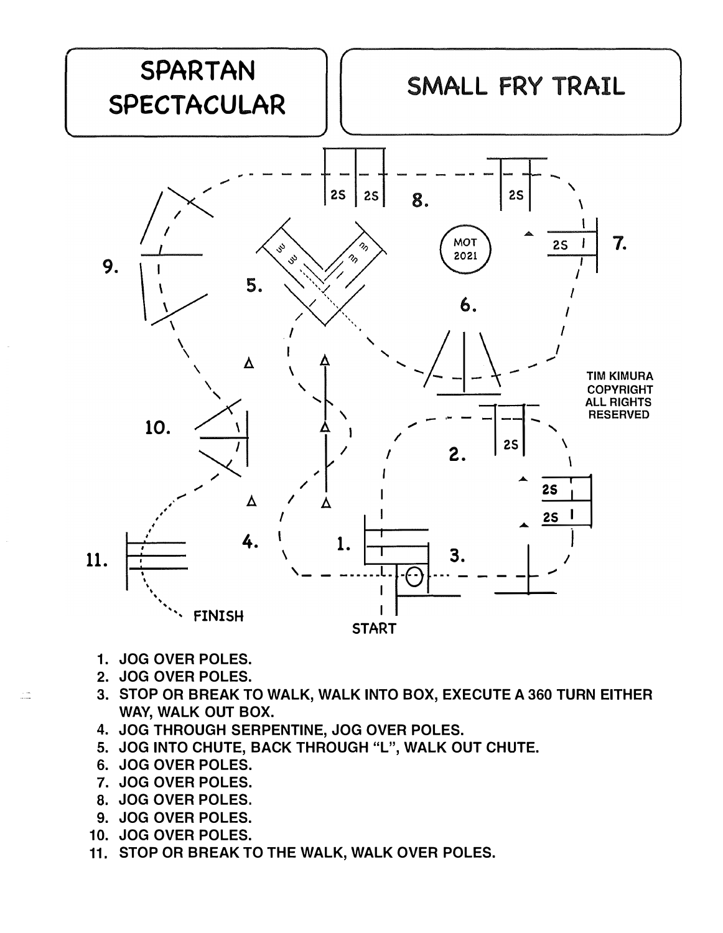

- 1. JOG OVER POLES.
- 2. JOG OVER POLES.

 $\frac{1}{2}$ 

- 3. STOP OR BREAK TO WALK, WALK INTO BOX, EXECUTE A 360 TURN EITHER WAY, WALK OUT BOX.
- 4. JOG THROUGH SERPENTINE, JOG OVER POLES.
- 5. JOG INTO CHUTE, BACK THROUGH "L", WALK OUT CHUTE.
- 6. JOG OVER POLES.
- 7. JOG OVER POLES.
- 8. JOG OVER POLES.
- 9. JOG OVER POLES.
- 10. JOG OVER POLES.
- 11. STOP OR BREAK TO THE WALK, WALK OVER POLES.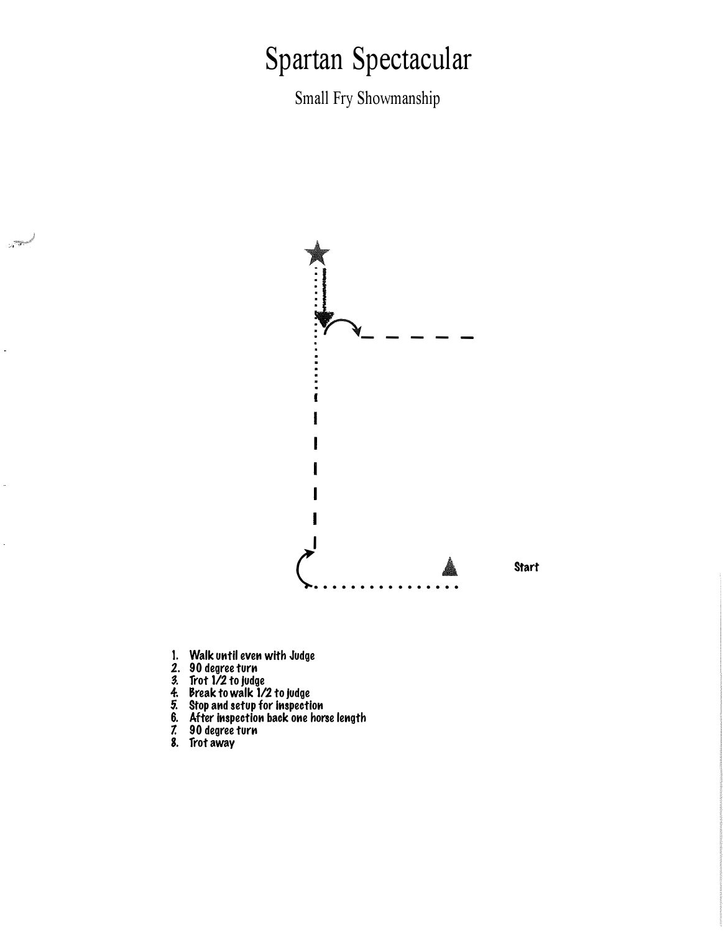## Spartan Spectacular

Small Fry Showmanship



- 
- 

المستبينين

- 
- 
- 
- 1. Walk until even with Judge<br>2. 90 degree turn<br>3. Trot 1/2 to judge<br>4. Break to walk 1/2 to judge<br>5. Stop and setup for inspection<br>6. After inspection back one horse length<br>7. 90 degree turn<br>8. Trot away
- 
-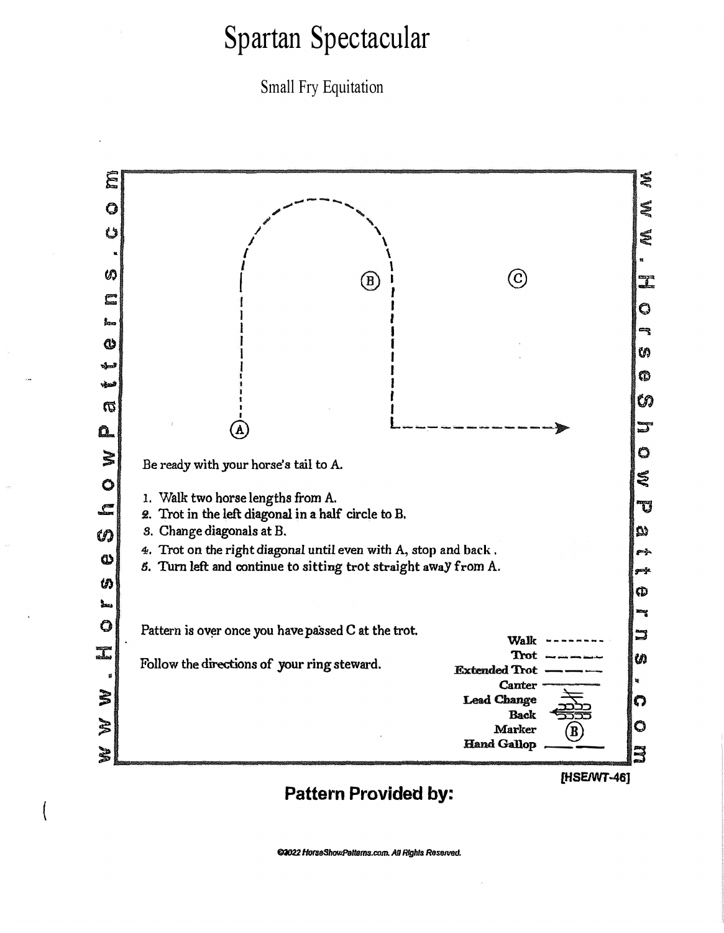## Spartan Spectacular

Small Fry Equitation



**Pattern Provided by:** 

(

**[HSEJWT-46]**